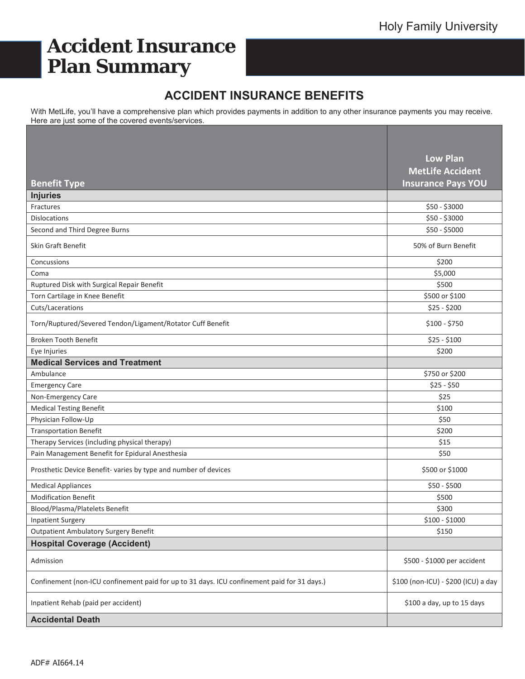# **Accident Insurance Plan Summary**

# **ACCIDENT INSURANCE BENEFITS**

With MetLife, you'll have a comprehensive plan which provides payments in addition to any other insurance payments you may receive. Here are just some of the covered events/services.

|                                                                                             | <b>Low Plan</b>                     |
|---------------------------------------------------------------------------------------------|-------------------------------------|
|                                                                                             | <b>MetLife Accident</b>             |
| <b>Benefit Type</b>                                                                         | <b>Insurance Pays YOU</b>           |
| <b>Injuries</b>                                                                             |                                     |
| Fractures                                                                                   | \$50 - \$3000                       |
| <b>Dislocations</b>                                                                         | \$50 - \$3000                       |
| Second and Third Degree Burns                                                               | \$50 - \$5000                       |
| Skin Graft Benefit                                                                          | 50% of Burn Benefit                 |
| Concussions                                                                                 | \$200                               |
| Coma                                                                                        | \$5,000                             |
| Ruptured Disk with Surgical Repair Benefit                                                  | \$500                               |
| Torn Cartilage in Knee Benefit                                                              | \$500 or \$100                      |
| Cuts/Lacerations                                                                            | $$25 - $200$                        |
| Torn/Ruptured/Severed Tendon/Ligament/Rotator Cuff Benefit                                  | \$100 - \$750                       |
| Broken Tooth Benefit                                                                        | $$25 - $100$                        |
| Eye Injuries                                                                                | \$200                               |
| <b>Medical Services and Treatment</b>                                                       |                                     |
| Ambulance                                                                                   | \$750 or \$200                      |
| <b>Emergency Care</b>                                                                       | $$25 - $50$                         |
| Non-Emergency Care                                                                          | \$25                                |
| <b>Medical Testing Benefit</b>                                                              | \$100                               |
| Physician Follow-Up                                                                         | \$50                                |
| <b>Transportation Benefit</b>                                                               | \$200                               |
| Therapy Services (including physical therapy)                                               | \$15                                |
| Pain Management Benefit for Epidural Anesthesia                                             | \$50                                |
| Prosthetic Device Benefit- varies by type and number of devices                             | \$500 or \$1000                     |
| <b>Medical Appliances</b>                                                                   | \$50 - \$500                        |
| <b>Modification Benefit</b>                                                                 | \$500                               |
| Blood/Plasma/Platelets Benefit                                                              | \$300                               |
| <b>Inpatient Surgery</b>                                                                    | $$100 - $1000$                      |
| <b>Outpatient Ambulatory Surgery Benefit</b>                                                | \$150                               |
| <b>Hospital Coverage (Accident)</b>                                                         |                                     |
| Admission                                                                                   | \$500 - \$1000 per accident         |
| Confinement (non-ICU confinement paid for up to 31 days. ICU confinement paid for 31 days.) | \$100 (non-ICU) - \$200 (ICU) a day |
| Inpatient Rehab (paid per accident)                                                         | \$100 a day, up to 15 days          |
| <b>Accidental Death</b>                                                                     |                                     |